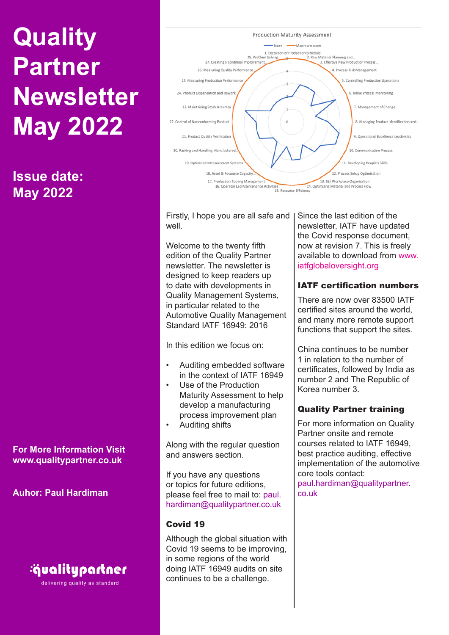**Issue date: May 2022**

**For More Information Visit www.qualitypartner.co.uk**

**Auhor: Paul Hardiman**



delivering quality as standard



Firstly, I hope you are all safe and well.

Welcome to the twenty fifth edition of the Quality Partner newsletter. The newsletter is designed to keep readers up to date with developments in Quality Management Systems, in particular related to the Automotive Quality Management Standard IATF 16949: 2016

In this edition we focus on:

- Auditing embedded software in the context of IATF 16949
- Use of the Production Maturity Assessment to help develop a manufacturing process improvement plan
- Auditing shifts

Along with the regular question and answers section.

If you have any questions or topics for future editions, please feel free to mail to: paul. hardiman@qualitypartner.co.uk

# Covid 19

Although the global situation with Covid 19 seems to be improving, in some regions of the world doing IATF 16949 audits on site continues to be a challenge.

Since the last edition of the newsletter, IATF have updated the Covid response document, now at revision 7. This is freely available to download from www. iatfglobaloversight.org

# IATF certification numbers

There are now over 83500 IATF certified sites around the world, and many more remote support functions that support the sites.

China continues to be number 1 in relation to the number of certificates, followed by India as number 2 and The Republic of Korea number 3.

# Quality Partner training

For more information on Quality Partner onsite and remote courses related to IATF 16949, best practice auditing, effective implementation of the automotive core tools contact: paul.hardiman@qualitypartner. co.uk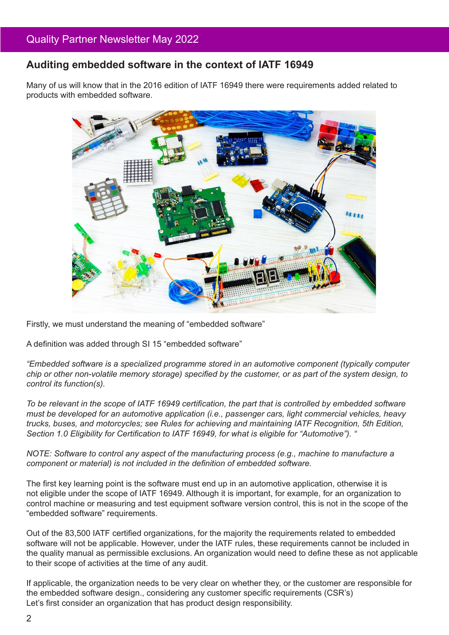# **Auditing embedded software in the context of IATF 16949**

Many of us will know that in the 2016 edition of IATF 16949 there were requirements added related to products with embedded software.



Firstly, we must understand the meaning of "embedded software"

A definition was added through SI 15 "embedded software"

*"Embedded software is a specialized programme stored in an automotive component (typically computer chip or other non-volatile memory storage) specified by the customer, or as part of the system design, to control its function(s).*

*To be relevant in the scope of IATF 16949 certification, the part that is controlled by embedded software must be developed for an automotive application (i.e., passenger cars, light commercial vehicles, heavy trucks, buses, and motorcycles; see Rules for achieving and maintaining IATF Recognition, 5th Edition, Section 1.0 Eligibility for Certification to IATF 16949, for what is eligible for "Automotive"). "*

*NOTE: Software to control any aspect of the manufacturing process (e.g., machine to manufacture a component or material) is not included in the definition of embedded software.*

The first key learning point is the software must end up in an automotive application, otherwise it is not eligible under the scope of IATF 16949. Although it is important, for example, for an organization to control machine or measuring and test equipment software version control, this is not in the scope of the "embedded software" requirements.

Out of the 83,500 IATF certified organizations, for the majority the requirements related to embedded software will not be applicable. However, under the IATF rules, these requirements cannot be included in the quality manual as permissible exclusions. An organization would need to define these as not applicable to their scope of activities at the time of any audit.

If applicable, the organization needs to be very clear on whether they, or the customer are responsible for the embedded software design., considering any customer specific requirements (CSR's) Let's first consider an organization that has product design responsibility.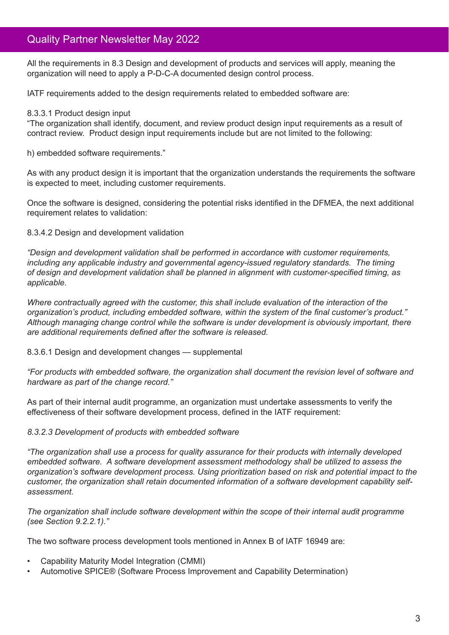All the requirements in 8.3 Design and development of products and services will apply, meaning the organization will need to apply a P-D-C-A documented design control process.

IATF requirements added to the design requirements related to embedded software are:

#### 8.3.3.1 Product design input

"The organization shall identify, document, and review product design input requirements as a result of contract review. Product design input requirements include but are not limited to the following:

h) embedded software requirements."

As with any product design it is important that the organization understands the requirements the software is expected to meet, including customer requirements.

Once the software is designed, considering the potential risks identified in the DFMEA, the next additional requirement relates to validation:

#### 8.3.4.2 Design and development validation

*"Design and development validation shall be performed in accordance with customer requirements, including any applicable industry and governmental agency-issued regulatory standards. The timing of design and development validation shall be planned in alignment with customer-specified timing, as applicable.* 

*Where contractually agreed with the customer, this shall include evaluation of the interaction of the organization's product, including embedded software, within the system of the final customer's product." Although managing change control while the software is under development is obviously important, there are additional requirements defined after the software is released.*

#### 8.3.6.1 Design and development changes — supplemental

*"For products with embedded software, the organization shall document the revision level of software and hardware as part of the change record."*

As part of their internal audit programme, an organization must undertake assessments to verify the effectiveness of their software development process, defined in the IATF requirement:

#### *8.3.2.3 Development of products with embedded software*

*"The organization shall use a process for quality assurance for their products with internally developed embedded software. A software development assessment methodology shall be utilized to assess the organization's software development process. Using prioritization based on risk and potential impact to the customer, the organization shall retain documented information of a software development capability selfassessment.* 

*The organization shall include software development within the scope of their internal audit programme (see Section 9.2.2.1)."*

The two software process development tools mentioned in Annex B of IATF 16949 are:

- Capability Maturity Model Integration (CMMI)
- Automotive SPICE® (Software Process Improvement and Capability Determination)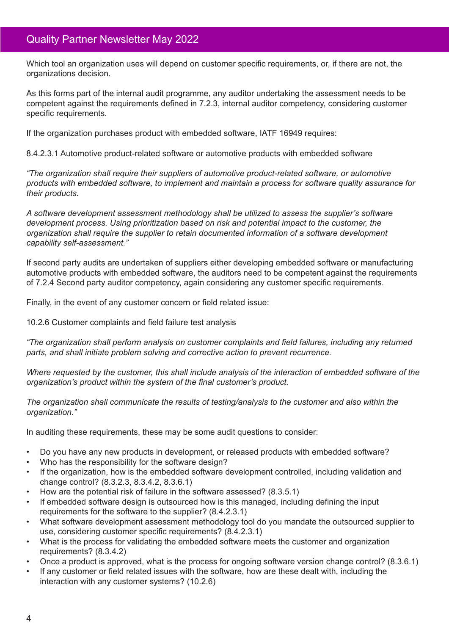Which tool an organization uses will depend on customer specific requirements, or, if there are not, the organizations decision.

As this forms part of the internal audit programme, any auditor undertaking the assessment needs to be competent against the requirements defined in 7.2.3, internal auditor competency, considering customer specific requirements.

If the organization purchases product with embedded software, IATF 16949 requires:

8.4.2.3.1 Automotive product-related software or automotive products with embedded software

*"The organization shall require their suppliers of automotive product-related software, or automotive products with embedded software, to implement and maintain a process for software quality assurance for their products.*

*A software development assessment methodology shall be utilized to assess the supplier's software development process. Using prioritization based on risk and potential impact to the customer, the organization shall require the supplier to retain documented information of a software development capability self-assessment."*

If second party audits are undertaken of suppliers either developing embedded software or manufacturing automotive products with embedded software, the auditors need to be competent against the requirements of 7.2.4 Second party auditor competency, again considering any customer specific requirements.

Finally, in the event of any customer concern or field related issue:

10.2.6 Customer complaints and field failure test analysis

*"The organization shall perform analysis on customer complaints and field failures, including any returned parts, and shall initiate problem solving and corrective action to prevent recurrence.*

*Where requested by the customer, this shall include analysis of the interaction of embedded software of the organization's product within the system of the final customer's product.*

*The organization shall communicate the results of testing/analysis to the customer and also within the organization."*

In auditing these requirements, these may be some audit questions to consider:

- Do you have any new products in development, or released products with embedded software?
- Who has the responsibility for the software design?
- If the organization, how is the embedded software development controlled, including validation and change control? (8.3.2.3, 8.3.4.2, 8.3.6.1)
- How are the potential risk of failure in the software assessed? (8.3.5.1)
- If embedded software design is outsourced how is this managed, including defining the input requirements for the software to the supplier? (8.4.2.3.1)
- What software development assessment methodology tool do you mandate the outsourced supplier to use, considering customer specific requirements? (8.4.2.3.1)
- What is the process for validating the embedded software meets the customer and organization requirements? (8.3.4.2)
- Once a product is approved, what is the process for ongoing software version change control? (8.3.6.1)
- If any customer or field related issues with the software, how are these dealt with, including the interaction with any customer systems? (10.2.6)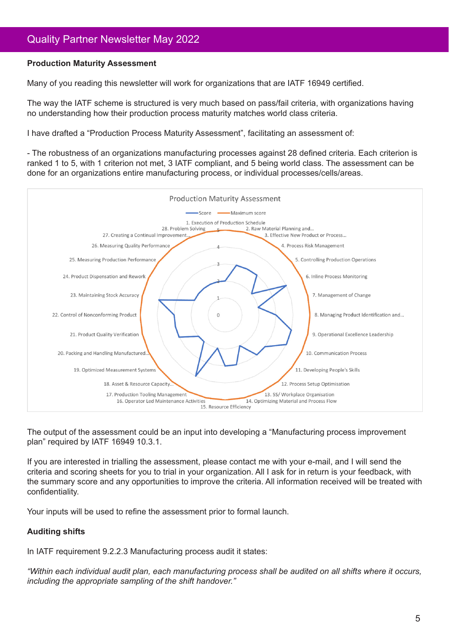## **Production Maturity Assessment**

Many of you reading this newsletter will work for organizations that are IATF 16949 certified.

The way the IATF scheme is structured is very much based on pass/fail criteria, with organizations having no understanding how their production process maturity matches world class criteria.

I have drafted a "Production Process Maturity Assessment", facilitating an assessment of:

- The robustness of an organizations manufacturing processes against 28 defined criteria. Each criterion is ranked 1 to 5, with 1 criterion not met, 3 IATF compliant, and 5 being world class. The assessment can be done for an organizations entire manufacturing process, or individual processes/cells/areas.



The output of the assessment could be an input into developing a "Manufacturing process improvement plan" required by IATF 16949 10.3.1.

If you are interested in trialling the assessment, please contact me with your e-mail, and I will send the criteria and scoring sheets for you to trial in your organization. All I ask for in return is your feedback, with the summary score and any opportunities to improve the criteria. All information received will be treated with confidentiality.

Your inputs will be used to refine the assessment prior to formal launch.

## **Auditing shifts**

In IATF requirement 9.2.2.3 Manufacturing process audit it states:

*"Within each individual audit plan, each manufacturing process shall be audited on all shifts where it occurs, including the appropriate sampling of the shift handover."*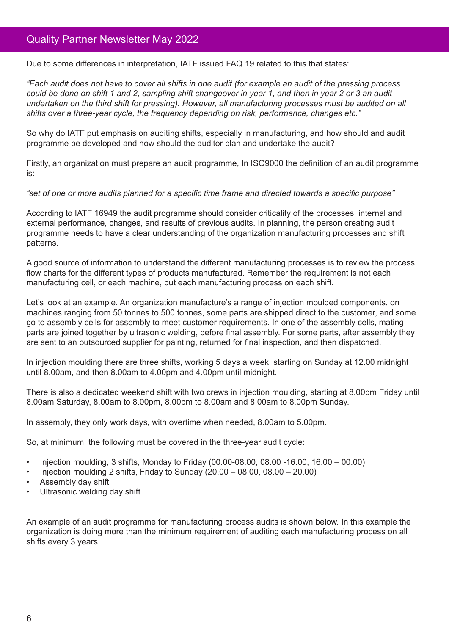Due to some differences in interpretation, IATF issued FAQ 19 related to this that states:

*"Each audit does not have to cover all shifts in one audit (for example an audit of the pressing process could be done on shift 1 and 2, sampling shift changeover in year 1, and then in year 2 or 3 an audit undertaken on the third shift for pressing). However, all manufacturing processes must be audited on all shifts over a three-year cycle, the frequency depending on risk, performance, changes etc."*

So why do IATF put emphasis on auditing shifts, especially in manufacturing, and how should and audit programme be developed and how should the auditor plan and undertake the audit?

Firstly, an organization must prepare an audit programme, In ISO9000 the definition of an audit programme is:

*"set of one or more audits planned for a specific time frame and directed towards a specific purpose"*

According to IATF 16949 the audit programme should consider criticality of the processes, internal and external performance, changes, and results of previous audits. In planning, the person creating audit programme needs to have a clear understanding of the organization manufacturing processes and shift patterns.

A good source of information to understand the different manufacturing processes is to review the process flow charts for the different types of products manufactured. Remember the requirement is not each manufacturing cell, or each machine, but each manufacturing process on each shift.

Let's look at an example. An organization manufacture's a range of injection moulded components, on machines ranging from 50 tonnes to 500 tonnes, some parts are shipped direct to the customer, and some go to assembly cells for assembly to meet customer requirements. In one of the assembly cells, mating parts are joined together by ultrasonic welding, before final assembly. For some parts, after assembly they are sent to an outsourced supplier for painting, returned for final inspection, and then dispatched.

In injection moulding there are three shifts, working 5 days a week, starting on Sunday at 12.00 midnight until 8.00am, and then 8.00am to 4.00pm and 4.00pm until midnight.

There is also a dedicated weekend shift with two crews in injection moulding, starting at 8.00pm Friday until 8.00am Saturday, 8.00am to 8.00pm, 8.00pm to 8.00am and 8.00am to 8.00pm Sunday.

In assembly, they only work days, with overtime when needed, 8.00am to 5.00pm.

So, at minimum, the following must be covered in the three-year audit cycle:

- Injection moulding, 3 shifts, Monday to Friday (00.00-08.00, 08.00 -16.00, 16.00 00.00)
- Injection moulding 2 shifts, Friday to Sunday  $(20.00 08.00, 08.00 20.00)$
- Assembly day shift
- Ultrasonic welding day shift

An example of an audit programme for manufacturing process audits is shown below. In this example the organization is doing more than the minimum requirement of auditing each manufacturing process on all shifts every 3 years.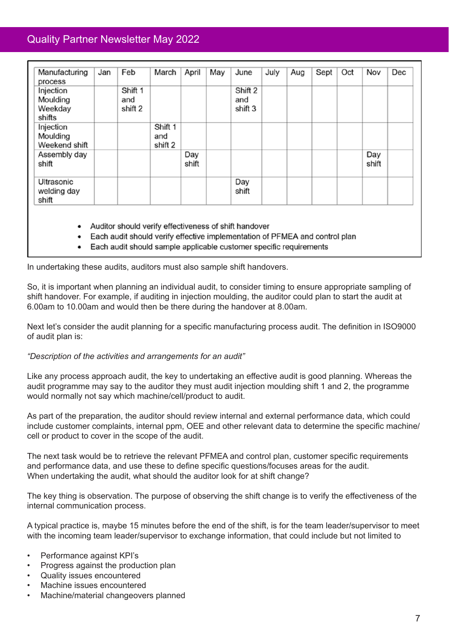| Manufacturing<br>process                   | Jan | Feb                       | March                     | April        | May | June                      | July | Aug | Sept | Oct | Nov          | Dec |
|--------------------------------------------|-----|---------------------------|---------------------------|--------------|-----|---------------------------|------|-----|------|-----|--------------|-----|
| Injection<br>Moulding<br>Weekday<br>shifts |     | Shift 1<br>and<br>shift 2 |                           |              |     | Shift 2<br>and<br>shift 3 |      |     |      |     |              |     |
| Injection<br>Moulding<br>Weekend shift     |     |                           | Shift 1<br>and<br>shift 2 |              |     |                           |      |     |      |     |              |     |
| Assembly day<br>shift                      |     |                           |                           | Day<br>shift |     |                           |      |     |      |     | Day<br>shift |     |
| Ultrasonic<br>welding day<br>shift         |     |                           |                           |              |     | Day<br>shift              |      |     |      |     |              |     |

- Auditor should verify effectiveness of shift handover
- Each audit should verify effective implementation of PFMEA and control plan
- Each audit should sample applicable customer specific requirements

In undertaking these audits, auditors must also sample shift handovers.

So, it is important when planning an individual audit, to consider timing to ensure appropriate sampling of shift handover. For example, if auditing in injection moulding, the auditor could plan to start the audit at 6.00am to 10.00am and would then be there during the handover at 8.00am.

Next let's consider the audit planning for a specific manufacturing process audit. The definition in ISO9000 of audit plan is:

*"Description of the activities and arrangements for an audit"*

Like any process approach audit, the key to undertaking an effective audit is good planning. Whereas the audit programme may say to the auditor they must audit injection moulding shift 1 and 2, the programme would normally not say which machine/cell/product to audit.

As part of the preparation, the auditor should review internal and external performance data, which could include customer complaints, internal ppm, OEE and other relevant data to determine the specific machine/ cell or product to cover in the scope of the audit.

The next task would be to retrieve the relevant PFMEA and control plan, customer specific requirements and performance data, and use these to define specific questions/focuses areas for the audit. When undertaking the audit, what should the auditor look for at shift change?

The key thing is observation. The purpose of observing the shift change is to verify the effectiveness of the internal communication process.

A typical practice is, maybe 15 minutes before the end of the shift, is for the team leader/supervisor to meet with the incoming team leader/supervisor to exchange information, that could include but not limited to

- Performance against KPI's
- Progress against the production plan
- Quality issues encountered
- Machine issues encountered
- Machine/material changeovers planned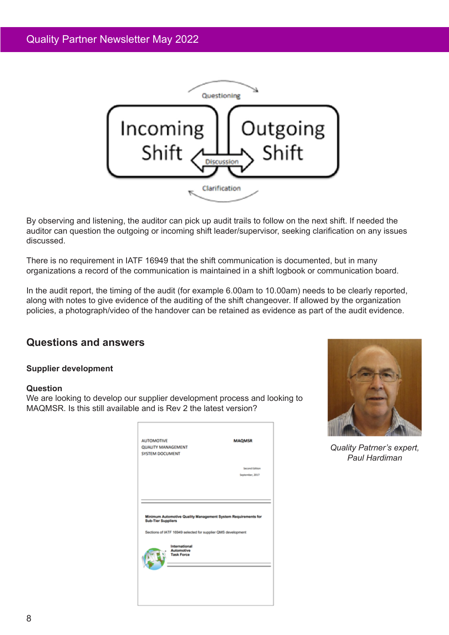

By observing and listening, the auditor can pick up audit trails to follow on the next shift. If needed the auditor can question the outgoing or incoming shift leader/supervisor, seeking clarification on any issues discussed.

There is no requirement in IATF 16949 that the shift communication is documented, but in many organizations a record of the communication is maintained in a shift logbook or communication board.

In the audit report, the timing of the audit (for example 6.00am to 10.00am) needs to be clearly reported, along with notes to give evidence of the auditing of the shift changeover. If allowed by the organization policies, a photograph/video of the handover can be retained as evidence as part of the audit evidence.

# **Questions and answers**

## **Supplier development**

## **Question**

We are looking to develop our supplier development process and looking to MAQMSR. Is this still available and is Rev 2 the latest version?

| <b>QUALITY MANAGEMENT</b><br><b>SYSTEM DOCUMENT</b> |                                                              |                                                               |
|-----------------------------------------------------|--------------------------------------------------------------|---------------------------------------------------------------|
|                                                     |                                                              | Second Edition                                                |
|                                                     |                                                              | September, 2017                                               |
|                                                     |                                                              |                                                               |
| <b>Sub-Tier Suppliers</b>                           |                                                              | Minimum Automotive Quality Management System Requirements for |
|                                                     | Sections of IATF 16949 selected for supplier QMS development |                                                               |
|                                                     | International<br><b>Automotive</b>                           |                                                               |
|                                                     | <b>Task Force</b>                                            |                                                               |
|                                                     |                                                              |                                                               |



*Quality Patrner's expert, Paul Hardiman*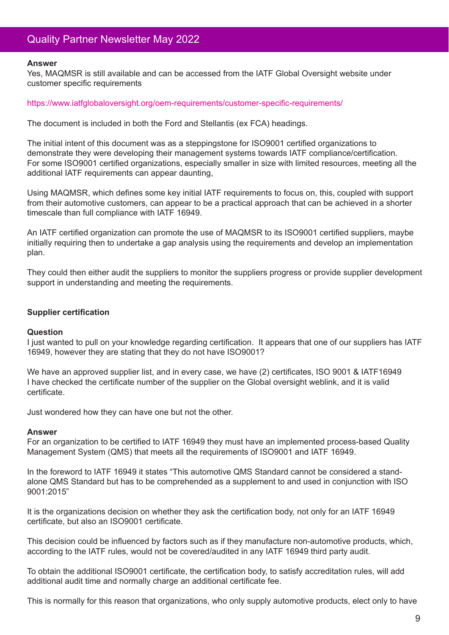#### **Answer**

Yes, MAQMSR is still available and can be accessed from the IATF Global Oversight website under customer specific requirements

#### https://www.iatfglobaloversight.org/oem-requirements/customer-specific-requirements/

The document is included in both the Ford and Stellantis (ex FCA) headings.

The initial intent of this document was as a steppingstone for ISO9001 certified organizations to demonstrate they were developing their management systems towards IATF compliance/certification. For some ISO9001 certified organizations, especially smaller in size with limited resources, meeting all the additional IATF requirements can appear daunting,

Using MAQMSR, which defines some key initial IATF requirements to focus on, this, coupled with support from their automotive customers, can appear to be a practical approach that can be achieved in a shorter timescale than full compliance with IATF 16949.

An IATF certified organization can promote the use of MAQMSR to its ISO9001 certified suppliers, maybe initially requiring then to undertake a gap analysis using the requirements and develop an implementation plan.

They could then either audit the suppliers to monitor the suppliers progress or provide supplier development support in understanding and meeting the requirements.

#### **Supplier certification**

#### **Question**

I just wanted to pull on your knowledge regarding certification. It appears that one of our suppliers has IATF 16949, however they are stating that they do not have ISO9001?

We have an approved supplier list, and in every case, we have (2) certificates, ISO 9001 & IATF16949 I have checked the certificate number of the supplier on the Global oversight weblink, and it is valid certificate.

Just wondered how they can have one but not the other.

#### **Answer**

For an organization to be certified to IATF 16949 they must have an implemented process-based Quality Management System (QMS) that meets all the requirements of ISO9001 and IATF 16949.

In the foreword to IATF 16949 it states "This automotive QMS Standard cannot be considered a standalone QMS Standard but has to be comprehended as a supplement to and used in conjunction with ISO 9001:2015"

It is the organizations decision on whether they ask the certification body, not only for an IATF 16949 certificate, but also an ISO9001 certificate.

This decision could be influenced by factors such as if they manufacture non-automotive products, which, according to the IATF rules, would not be covered/audited in any IATF 16949 third party audit.

To obtain the additional ISO9001 certificate, the certification body, to satisfy accreditation rules, will add additional audit time and normally charge an additional certificate fee.

This is normally for this reason that organizations, who only supply automotive products, elect only to have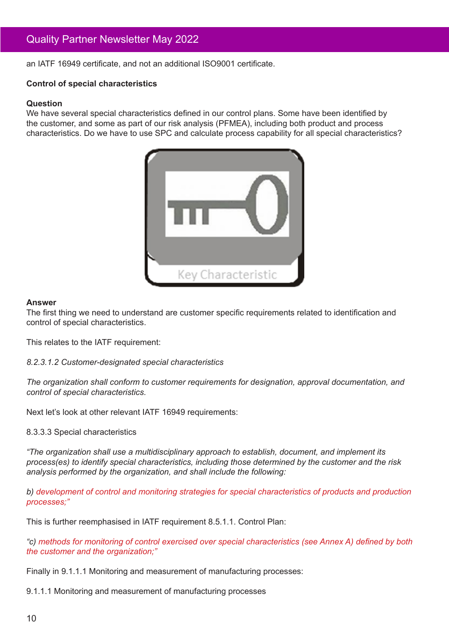an IATF 16949 certificate, and not an additional ISO9001 certificate.

### **Control of special characteristics**

#### **Question**

We have several special characteristics defined in our control plans. Some have been identified by the customer, and some as part of our risk analysis (PFMEA), including both product and process characteristics. Do we have to use SPC and calculate process capability for all special characteristics?



#### **Answer**

The first thing we need to understand are customer specific requirements related to identification and control of special characteristics.

This relates to the IATF requirement:

*8.2.3.1.2 Customer-designated special characteristics*

*The organization shall conform to customer requirements for designation, approval documentation, and control of special characteristics.*

Next let's look at other relevant IATF 16949 requirements:

#### 8.3.3.3 Special characteristics

*"The organization shall use a multidisciplinary approach to establish, document, and implement its process(es) to identify special characteristics, including those determined by the customer and the risk analysis performed by the organization, and shall include the following:*

*b) development of control and monitoring strategies for special characteristics of products and production processes;"*

This is further reemphasised in IATF requirement 8.5.1.1. Control Plan:

*"c) methods for monitoring of control exercised over special characteristics (see Annex A) defined by both the customer and the organization;"*

Finally in 9.1.1.1 Monitoring and measurement of manufacturing processes:

9.1.1.1 Monitoring and measurement of manufacturing processes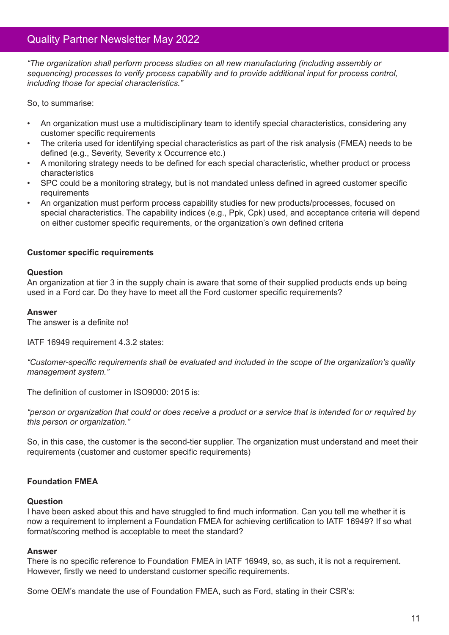*"The organization shall perform process studies on all new manufacturing (including assembly or sequencing) processes to verify process capability and to provide additional input for process control, including those for special characteristics."*

So, to summarise:

- An organization must use a multidisciplinary team to identify special characteristics, considering any customer specific requirements
- The criteria used for identifying special characteristics as part of the risk analysis (FMEA) needs to be defined (e.g., Severity, Severity x Occurrence etc.)
- A monitoring strategy needs to be defined for each special characteristic, whether product or process characteristics
- SPC could be a monitoring strategy, but is not mandated unless defined in agreed customer specific requirements
- An organization must perform process capability studies for new products/processes, focused on special characteristics. The capability indices (e.g., Ppk, Cpk) used, and acceptance criteria will depend on either customer specific requirements, or the organization's own defined criteria

## **Customer specific requirements**

#### **Question**

An organization at tier 3 in the supply chain is aware that some of their supplied products ends up being used in a Ford car. Do they have to meet all the Ford customer specific requirements?

#### **Answer**

The answer is a definite no!

IATF 16949 requirement 4.3.2 states:

*"Customer-specific requirements shall be evaluated and included in the scope of the organization's quality management system."*

The definition of customer in ISO9000: 2015 is:

*"person or organization that could or does receive a product or a service that is intended for or required by this person or organization."*

So, in this case, the customer is the second-tier supplier. The organization must understand and meet their requirements (customer and customer specific requirements)

## **Foundation FMEA**

#### **Question**

I have been asked about this and have struggled to find much information. Can you tell me whether it is now a requirement to implement a Foundation FMEA for achieving certification to IATF 16949? If so what format/scoring method is acceptable to meet the standard?

## **Answer**

There is no specific reference to Foundation FMEA in IATF 16949, so, as such, it is not a requirement. However, firstly we need to understand customer specific requirements.

Some OEM's mandate the use of Foundation FMEA, such as Ford, stating in their CSR's: